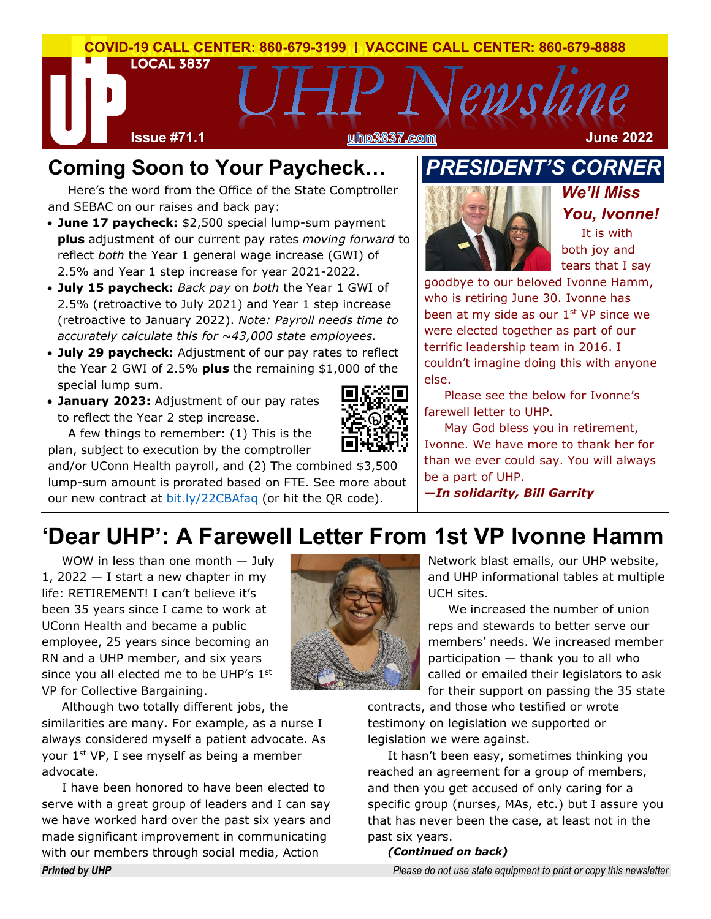

## **Coming Soon to Your Paycheck…**

Here's the word from the Office of the State Comptroller and SEBAC on our raises and back pay:

- **June 17 paycheck:** \$2,500 special lump-sum payment **plus** adjustment of our current pay rates *moving forward* to reflect *both* the Year 1 general wage increase (GWI) of 2.5% and Year 1 step increase for year 2021-2022.
- **July 15 paycheck:** *Back pay* on *both* the Year 1 GWI of 2.5% (retroactive to July 2021) and Year 1 step increase (retroactive to January 2022). *Note: Payroll needs time to accurately calculate this for ~43,000 state employees.*
- **July 29 paycheck:** Adjustment of our pay rates to reflect the Year 2 GWI of 2.5% **plus** the remaining \$1,000 of the special lump sum.
- **January 2023:** Adjustment of our pay rates to reflect the Year 2 step increase.



A few things to remember: (1) This is the plan, subject to execution by the comptroller

and/or UConn Health payroll, and (2) The combined \$3,500 lump-sum amount is prorated based on FTE. See more about our new contract at [bit.ly/22CBAfaq](https://bit.ly/22CBAfaq) (or hit the QR code).

## *PRESIDENT'S CORNER*



*We'll Miss You, Ivonne!*

It is with both joy and tears that I say

goodbye to our beloved Ivonne Hamm, who is retiring June 30. Ivonne has been at my side as our  $1<sup>st</sup>$  VP since we were elected together as part of our terrific leadership team in 2016. I couldn't imagine doing this with anyone else.

Please see the below for Ivonne's farewell letter to UHP.

May God bless you in retirement, Ivonne. We have more to thank her for than we ever could say. You will always be a part of UHP.

*—In solidarity, Bill Garrity*

# **'Dear UHP': A Farewell Letter From 1st VP Ivonne Hamm**

WOW in less than one month — July 1, 2022  $-$  I start a new chapter in my life: RETIREMENT! I can't believe it's been 35 years since I came to work at UConn Health and became a public employee, 25 years since becoming an RN and a UHP member, and six years since you all elected me to be UHP's  $1<sup>st</sup>$ VP for Collective Bargaining.

Although two totally different jobs, the similarities are many. For example, as a nurse I always considered myself a patient advocate. As your 1st VP, I see myself as being a member advocate.

I have been honored to have been elected to serve with a great group of leaders and I can say we have worked hard over the past six years and made significant improvement in communicating with our members through social media, Action



Network blast emails, our UHP website, and UHP informational tables at multiple UCH sites.

We increased the number of union reps and stewards to better serve our members' needs. We increased member participation — thank you to all who called or emailed their legislators to ask for their support on passing the 35 state

contracts, and those who testified or wrote testimony on legislation we supported or legislation we were against.

It hasn't been easy, sometimes thinking you reached an agreement for a group of members, and then you get accused of only caring for a specific group (nurses, MAs, etc.) but I assure you that has never been the case, at least not in the past six years.

#### *(Continued on back)*